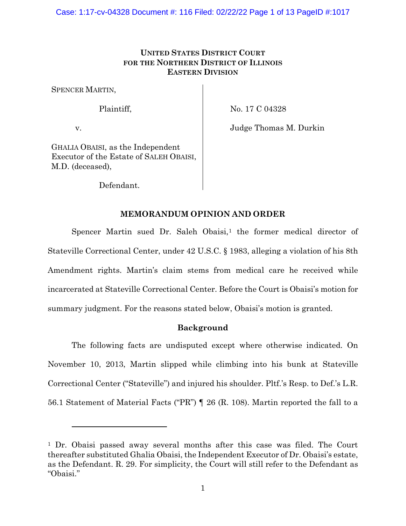# **UNITED STATES DISTRICT COURT FOR THE NORTHERN DISTRICT OF ILLINOIS EASTERN DIVISION**

SPENCER MARTIN,

# Plaintiff,

No. 17 C 04328

v.

Judge Thomas M. Durkin

GHALIA OBAISI, as the Independent Executor of the Estate of SALEH OBAISI, M.D. (deceased),

Defendant.

# **MEMORANDUM OPINION AND ORDER**

Spencer Martin sued Dr. Saleh Obaisi, $<sup>1</sup>$  the former medical director of</sup> Stateville Correctional Center, under 42 U.S.C. § 1983, alleging a violation of his 8th Amendment rights. Martin's claim stems from medical care he received while incarcerated at Stateville Correctional Center. Before the Court is Obaisi's motion for summary judgment. For the reasons stated below, Obaisi's motion is granted.

# **Background**

The following facts are undisputed except where otherwise indicated. On November 10, 2013, Martin slipped while climbing into his bunk at Stateville Correctional Center ("Stateville") and injured his shoulder. Pltf.'s Resp. to Def.'s L.R. 56.1 Statement of Material Facts ("PR") ¶ 26 (R. 108). Martin reported the fall to a

<sup>1</sup> Dr. Obaisi passed away several months after this case was filed. The Court thereafter substituted Ghalia Obaisi, the Independent Executor of Dr. Obaisi's estate, as the Defendant. R. 29. For simplicity, the Court will still refer to the Defendant as "Obaisi."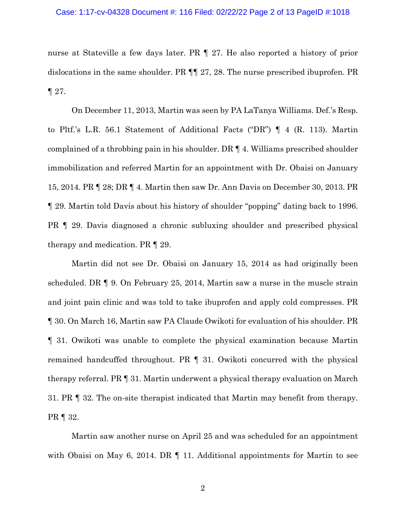## Case: 1:17-cv-04328 Document #: 116 Filed: 02/22/22 Page 2 of 13 PageID #:1018

nurse at Stateville a few days later. PR ¶ 27. He also reported a history of prior dislocations in the same shoulder. PR ¶¶ 27, 28. The nurse prescribed ibuprofen. PR ¶ 27.

On December 11, 2013, Martin was seen by PA LaTanya Williams. Def.'s Resp. to Pltf.'s L.R. 56.1 Statement of Additional Facts ("DR") ¶ 4 (R. 113). Martin complained of a throbbing pain in his shoulder. DR ¶ 4. Williams prescribed shoulder immobilization and referred Martin for an appointment with Dr. Obaisi on January 15, 2014. PR ¶ 28; DR ¶ 4. Martin then saw Dr. Ann Davis on December 30, 2013. PR ¶ 29. Martin told Davis about his history of shoulder "popping" dating back to 1996. PR ¶ 29. Davis diagnosed a chronic subluxing shoulder and prescribed physical therapy and medication. PR ¶ 29.

Martin did not see Dr. Obaisi on January 15, 2014 as had originally been scheduled. DR ¶ 9. On February 25, 2014, Martin saw a nurse in the muscle strain and joint pain clinic and was told to take ibuprofen and apply cold compresses. PR ¶ 30. On March 16, Martin saw PA Claude Owikoti for evaluation of his shoulder. PR ¶ 31. Owikoti was unable to complete the physical examination because Martin remained handcuffed throughout. PR ¶ 31. Owikoti concurred with the physical therapy referral. PR ¶ 31. Martin underwent a physical therapy evaluation on March 31. PR ¶ 32. The on-site therapist indicated that Martin may benefit from therapy. PR ¶ 32.

Martin saw another nurse on April 25 and was scheduled for an appointment with Obaisi on May 6, 2014. DR  $\P$  11. Additional appointments for Martin to see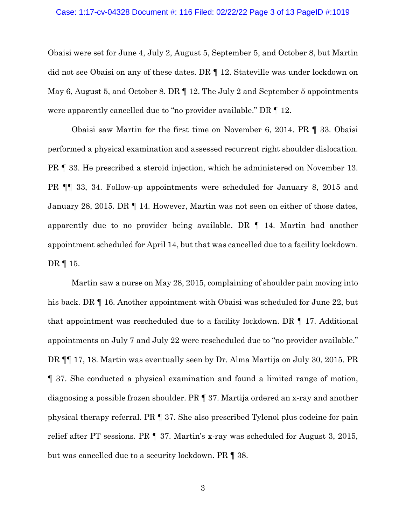## Case: 1:17-cv-04328 Document #: 116 Filed: 02/22/22 Page 3 of 13 PageID #:1019

Obaisi were set for June 4, July 2, August 5, September 5, and October 8, but Martin did not see Obaisi on any of these dates. DR ¶ 12. Stateville was under lockdown on May 6, August 5, and October 8. DR ¶ 12. The July 2 and September 5 appointments were apparently cancelled due to "no provider available." DR ¶ 12.

Obaisi saw Martin for the first time on November 6, 2014. PR ¶ 33. Obaisi performed a physical examination and assessed recurrent right shoulder dislocation. PR ¶ 33. He prescribed a steroid injection, which he administered on November 13. PR ¶¶ 33, 34. Follow-up appointments were scheduled for January 8, 2015 and January 28, 2015. DR ¶ 14. However, Martin was not seen on either of those dates, apparently due to no provider being available. DR ¶ 14. Martin had another appointment scheduled for April 14, but that was cancelled due to a facility lockdown. DR ¶ 15.

Martin saw a nurse on May 28, 2015, complaining of shoulder pain moving into his back. DR  $\P$  16. Another appointment with Obaisi was scheduled for June 22, but that appointment was rescheduled due to a facility lockdown. DR ¶ 17. Additional appointments on July 7 and July 22 were rescheduled due to "no provider available." DR ¶¶ 17, 18. Martin was eventually seen by Dr. Alma Martija on July 30, 2015. PR ¶ 37. She conducted a physical examination and found a limited range of motion, diagnosing a possible frozen shoulder. PR ¶ 37. Martija ordered an x-ray and another physical therapy referral. PR ¶ 37. She also prescribed Tylenol plus codeine for pain relief after PT sessions. PR ¶ 37. Martin's x-ray was scheduled for August 3, 2015, but was cancelled due to a security lockdown. PR ¶ 38.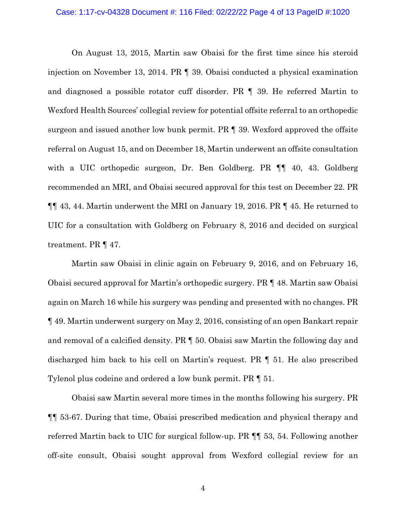#### Case: 1:17-cv-04328 Document #: 116 Filed: 02/22/22 Page 4 of 13 PageID #:1020

On August 13, 2015, Martin saw Obaisi for the first time since his steroid injection on November 13, 2014. PR ¶ 39. Obaisi conducted a physical examination and diagnosed a possible rotator cuff disorder. PR ¶ 39. He referred Martin to Wexford Health Sources' collegial review for potential offsite referral to an orthopedic surgeon and issued another low bunk permit. PR ¶ 39. Wexford approved the offsite referral on August 15, and on December 18, Martin underwent an offsite consultation with a UIC orthopedic surgeon, Dr. Ben Goldberg. PR **[1** 40, 43. Goldberg] recommended an MRI, and Obaisi secured approval for this test on December 22. PR ¶¶ 43, 44. Martin underwent the MRI on January 19, 2016. PR ¶ 45. He returned to UIC for a consultation with Goldberg on February 8, 2016 and decided on surgical treatment. PR ¶ 47.

Martin saw Obaisi in clinic again on February 9, 2016, and on February 16, Obaisi secured approval for Martin's orthopedic surgery. PR ¶ 48. Martin saw Obaisi again on March 16 while his surgery was pending and presented with no changes. PR ¶ 49. Martin underwent surgery on May 2, 2016, consisting of an open Bankart repair and removal of a calcified density. PR ¶ 50. Obaisi saw Martin the following day and discharged him back to his cell on Martin's request. PR ¶ 51. He also prescribed Tylenol plus codeine and ordered a low bunk permit. PR ¶ 51.

Obaisi saw Martin several more times in the months following his surgery. PR ¶¶ 53-67. During that time, Obaisi prescribed medication and physical therapy and referred Martin back to UIC for surgical follow-up. PR ¶¶ 53, 54. Following another off-site consult, Obaisi sought approval from Wexford collegial review for an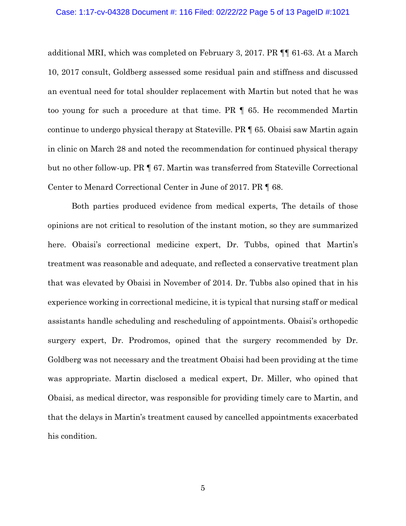#### Case: 1:17-cv-04328 Document #: 116 Filed: 02/22/22 Page 5 of 13 PageID #:1021

additional MRI, which was completed on February 3, 2017. PR ¶¶ 61-63. At a March 10, 2017 consult, Goldberg assessed some residual pain and stiffness and discussed an eventual need for total shoulder replacement with Martin but noted that he was too young for such a procedure at that time. PR ¶ 65. He recommended Martin continue to undergo physical therapy at Stateville. PR ¶ 65. Obaisi saw Martin again in clinic on March 28 and noted the recommendation for continued physical therapy but no other follow-up. PR ¶ 67. Martin was transferred from Stateville Correctional Center to Menard Correctional Center in June of 2017. PR ¶ 68.

Both parties produced evidence from medical experts, The details of those opinions are not critical to resolution of the instant motion, so they are summarized here. Obaisi's correctional medicine expert, Dr. Tubbs, opined that Martin's treatment was reasonable and adequate, and reflected a conservative treatment plan that was elevated by Obaisi in November of 2014. Dr. Tubbs also opined that in his experience working in correctional medicine, it is typical that nursing staff or medical assistants handle scheduling and rescheduling of appointments. Obaisi's orthopedic surgery expert, Dr. Prodromos, opined that the surgery recommended by Dr. Goldberg was not necessary and the treatment Obaisi had been providing at the time was appropriate. Martin disclosed a medical expert, Dr. Miller, who opined that Obaisi, as medical director, was responsible for providing timely care to Martin, and that the delays in Martin's treatment caused by cancelled appointments exacerbated his condition.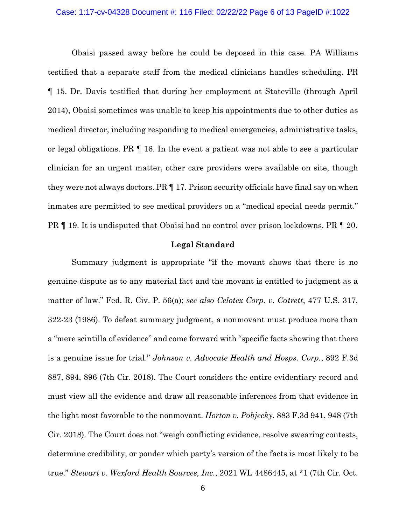### Case: 1:17-cv-04328 Document #: 116 Filed: 02/22/22 Page 6 of 13 PageID #:1022

Obaisi passed away before he could be deposed in this case. PA Williams testified that a separate staff from the medical clinicians handles scheduling. PR ¶ 15. Dr. Davis testified that during her employment at Stateville (through April 2014), Obaisi sometimes was unable to keep his appointments due to other duties as medical director, including responding to medical emergencies, administrative tasks, or legal obligations. PR ¶ 16. In the event a patient was not able to see a particular clinician for an urgent matter, other care providers were available on site, though they were not always doctors. PR ¶ 17. Prison security officials have final say on when inmates are permitted to see medical providers on a "medical special needs permit." PR ¶ 19. It is undisputed that Obaisi had no control over prison lockdowns. PR ¶ 20.

## **Legal Standard**

Summary judgment is appropriate "if the movant shows that there is no genuine dispute as to any material fact and the movant is entitled to judgment as a matter of law." Fed. R. Civ. P. 56(a); *see also Celotex Corp. v. Catrett*, 477 U.S. 317, 322-23 (1986). To defeat summary judgment, a nonmovant must produce more than a "mere scintilla of evidence" and come forward with "specific facts showing that there is a genuine issue for trial." *Johnson v. Advocate Health and Hosps. Corp.*, 892 F.3d 887, 894, 896 (7th Cir. 2018). The Court considers the entire evidentiary record and must view all the evidence and draw all reasonable inferences from that evidence in the light most favorable to the nonmovant. *Horton v. Pobjecky*, 883 F.3d 941, 948 (7th Cir. 2018). The Court does not "weigh conflicting evidence, resolve swearing contests, determine credibility, or ponder which party's version of the facts is most likely to be true." *Stewart v. Wexford Health Sources, Inc.*, 2021 WL 4486445, at \*1 (7th Cir. Oct.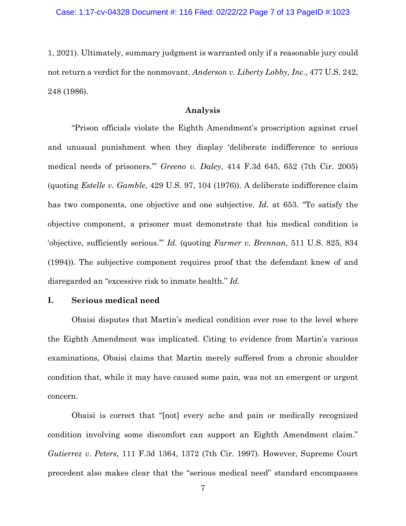1, 2021). Ultimately, summary judgment is warranted only if a reasonable jury could not return a verdict for the nonmovant. *Anderson v. Liberty Lobby, Inc.*, 477 U.S. 242, 248 (1986).

# **Analysis**

"Prison officials violate the Eighth Amendment's proscription against cruel and unusual punishment when they display 'deliberate indifference to serious medical needs of prisoners.'" *Greeno v. Daley*, 414 F.3d 645, 652 (7th Cir. 2005) (quoting *Estelle v. Gamble*, 429 U.S. 97, 104 (1976)). A deliberate indifference claim has two components, one objective and one subjective. *Id.* at 653. "To satisfy the objective component, a prisoner must demonstrate that his medical condition is 'objective, sufficiently serious.'" *Id.* (quoting *Farmer v. Brennan*, 511 U.S. 825, 834 (1994)). The subjective component requires proof that the defendant knew of and disregarded an "excessive risk to inmate health." *Id.*

# **I. Serious medical need**

Obaisi disputes that Martin's medical condition ever rose to the level where the Eighth Amendment was implicated. Citing to evidence from Martin's various examinations, Obaisi claims that Martin merely suffered from a chronic shoulder condition that, while it may have caused some pain, was not an emergent or urgent concern.

Obaisi is correct that "[not] every ache and pain or medically recognized condition involving some discomfort can support an Eighth Amendment claim." *Gutierrez v. Peters*, 111 F.3d 1364, 1372 (7th Cir. 1997). However, Supreme Court precedent also makes clear that the "serious medical need" standard encompasses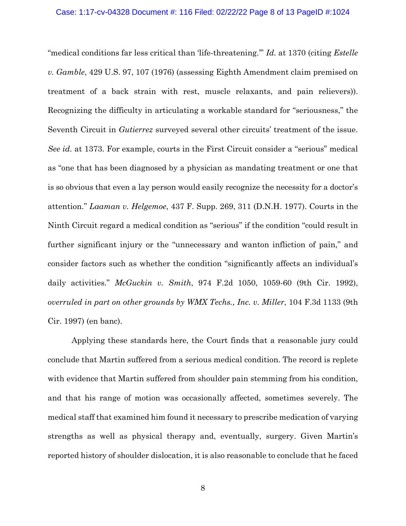"medical conditions far less critical than 'life-threatening.'" *Id.* at 1370 (citing *Estelle v. Gamble*, 429 U.S. 97, 107 (1976) (assessing Eighth Amendment claim premised on treatment of a back strain with rest, muscle relaxants, and pain relievers)). Recognizing the difficulty in articulating a workable standard for "seriousness," the Seventh Circuit in *Gutierrez* surveyed several other circuits' treatment of the issue. *See id.* at 1373. For example, courts in the First Circuit consider a "serious" medical as "one that has been diagnosed by a physician as mandating treatment or one that is so obvious that even a lay person would easily recognize the necessity for a doctor's attention." *Laaman v. Helgemoe*, 437 F. Supp. 269, 311 (D.N.H. 1977). Courts in the Ninth Circuit regard a medical condition as "serious" if the condition "could result in further significant injury or the "unnecessary and wanton infliction of pain," and consider factors such as whether the condition "significantly affects an individual's daily activities." *McGuckin v. Smith*, 974 F.2d 1050, 1059-60 (9th Cir. 1992), *overruled in part on other grounds by WMX Techs., Inc. v. Miller*, 104 F.3d 1133 (9th Cir. 1997) (en banc).

Applying these standards here, the Court finds that a reasonable jury could conclude that Martin suffered from a serious medical condition. The record is replete with evidence that Martin suffered from shoulder pain stemming from his condition, and that his range of motion was occasionally affected, sometimes severely. The medical staff that examined him found it necessary to prescribe medication of varying strengths as well as physical therapy and, eventually, surgery. Given Martin's reported history of shoulder dislocation, it is also reasonable to conclude that he faced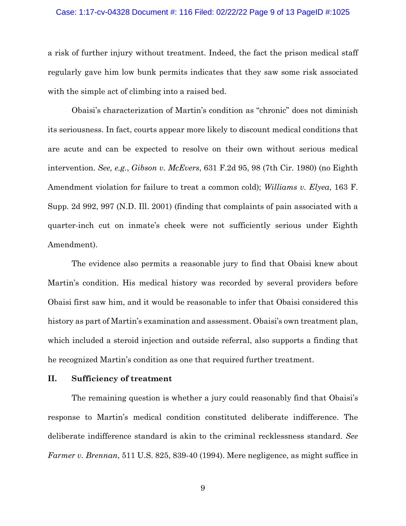## Case: 1:17-cv-04328 Document #: 116 Filed: 02/22/22 Page 9 of 13 PageID #:1025

a risk of further injury without treatment. Indeed, the fact the prison medical staff regularly gave him low bunk permits indicates that they saw some risk associated with the simple act of climbing into a raised bed.

Obaisi's characterization of Martin's condition as "chronic" does not diminish its seriousness. In fact, courts appear more likely to discount medical conditions that are acute and can be expected to resolve on their own without serious medical intervention. *See, e.g.*, *Gibson v. McEvers*, 631 F.2d 95, 98 (7th Cir. 1980) (no Eighth Amendment violation for failure to treat a common cold); *Williams v. Elyea*, 163 F. Supp. 2d 992, 997 (N.D. Ill. 2001) (finding that complaints of pain associated with a quarter-inch cut on inmate's cheek were not sufficiently serious under Eighth Amendment).

The evidence also permits a reasonable jury to find that Obaisi knew about Martin's condition. His medical history was recorded by several providers before Obaisi first saw him, and it would be reasonable to infer that Obaisi considered this history as part of Martin's examination and assessment. Obaisi's own treatment plan, which included a steroid injection and outside referral, also supports a finding that he recognized Martin's condition as one that required further treatment.

## **II. Sufficiency of treatment**

The remaining question is whether a jury could reasonably find that Obaisi's response to Martin's medical condition constituted deliberate indifference. The deliberate indifference standard is akin to the criminal recklessness standard. *See Farmer v. Brennan*, 511 U.S. 825, 839-40 (1994). Mere negligence, as might suffice in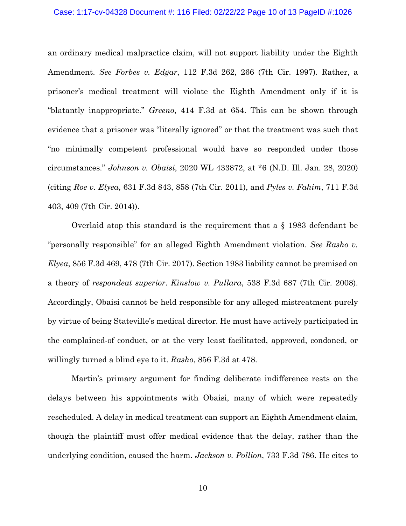## Case: 1:17-cv-04328 Document #: 116 Filed: 02/22/22 Page 10 of 13 PageID #:1026

an ordinary medical malpractice claim, will not support liability under the Eighth Amendment. *See Forbes v. Edgar*, 112 F.3d 262, 266 (7th Cir. 1997). Rather, a prisoner's medical treatment will violate the Eighth Amendment only if it is "blatantly inappropriate." *Greeno*, 414 F.3d at 654. This can be shown through evidence that a prisoner was "literally ignored" or that the treatment was such that "no minimally competent professional would have so responded under those circumstances." *Johnson v. Obaisi*, 2020 WL 433872, at \*6 (N.D. Ill. Jan. 28, 2020) (citing *Roe v. Elyea*, 631 F.3d 843, 858 (7th Cir. 2011), and *Pyles v. Fahim*, 711 F.3d 403, 409 (7th Cir. 2014)).

Overlaid atop this standard is the requirement that a § 1983 defendant be "personally responsible" for an alleged Eighth Amendment violation. *See Rasho v. Elyea*, 856 F.3d 469, 478 (7th Cir. 2017). Section 1983 liability cannot be premised on a theory of *respondeat superior*. *Kinslow v. Pullara*, 538 F.3d 687 (7th Cir. 2008). Accordingly, Obaisi cannot be held responsible for any alleged mistreatment purely by virtue of being Stateville's medical director. He must have actively participated in the complained-of conduct, or at the very least facilitated, approved, condoned, or willingly turned a blind eye to it. *Rasho*, 856 F.3d at 478.

Martin's primary argument for finding deliberate indifference rests on the delays between his appointments with Obaisi, many of which were repeatedly rescheduled. A delay in medical treatment can support an Eighth Amendment claim, though the plaintiff must offer medical evidence that the delay, rather than the underlying condition, caused the harm. *Jackson v. Pollion*, 733 F.3d 786. He cites to

10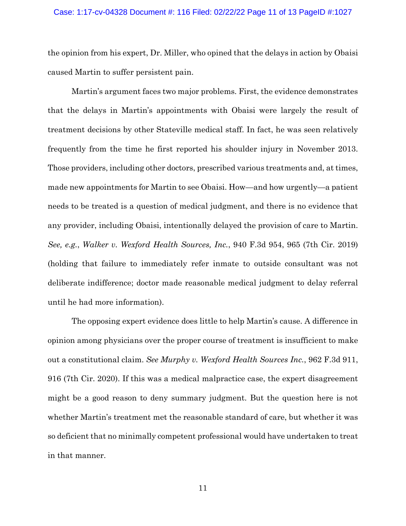## Case: 1:17-cv-04328 Document #: 116 Filed: 02/22/22 Page 11 of 13 PageID #:1027

the opinion from his expert, Dr. Miller, who opined that the delays in action by Obaisi caused Martin to suffer persistent pain.

Martin's argument faces two major problems. First, the evidence demonstrates that the delays in Martin's appointments with Obaisi were largely the result of treatment decisions by other Stateville medical staff. In fact, he was seen relatively frequently from the time he first reported his shoulder injury in November 2013. Those providers, including other doctors, prescribed various treatments and, at times, made new appointments for Martin to see Obaisi. How—and how urgently—a patient needs to be treated is a question of medical judgment, and there is no evidence that any provider, including Obaisi, intentionally delayed the provision of care to Martin. *See, e.g.*, *Walker v. Wexford Health Sources, Inc.*, 940 F.3d 954, 965 (7th Cir. 2019) (holding that failure to immediately refer inmate to outside consultant was not deliberate indifference; doctor made reasonable medical judgment to delay referral until he had more information).

The opposing expert evidence does little to help Martin's cause. A difference in opinion among physicians over the proper course of treatment is insufficient to make out a constitutional claim. *See Murphy v. Wexford Health Sources Inc.*, 962 F.3d 911, 916 (7th Cir. 2020). If this was a medical malpractice case, the expert disagreement might be a good reason to deny summary judgment. But the question here is not whether Martin's treatment met the reasonable standard of care, but whether it was so deficient that no minimally competent professional would have undertaken to treat in that manner.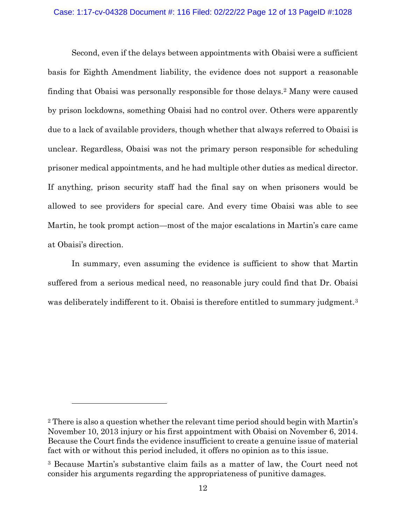# Case: 1:17-cv-04328 Document #: 116 Filed: 02/22/22 Page 12 of 13 PageID #:1028

Second, even if the delays between appointments with Obaisi were a sufficient basis for Eighth Amendment liability, the evidence does not support a reasonable finding that Obaisi was personally responsible for those delays.2 Many were caused by prison lockdowns, something Obaisi had no control over. Others were apparently due to a lack of available providers, though whether that always referred to Obaisi is unclear. Regardless, Obaisi was not the primary person responsible for scheduling prisoner medical appointments, and he had multiple other duties as medical director. If anything, prison security staff had the final say on when prisoners would be allowed to see providers for special care. And every time Obaisi was able to see Martin, he took prompt action—most of the major escalations in Martin's care came at Obaisi's direction.

In summary, even assuming the evidence is sufficient to show that Martin suffered from a serious medical need, no reasonable jury could find that Dr. Obaisi was deliberately indifferent to it. Obaisi is therefore entitled to summary judgment.<sup>3</sup>

<sup>2</sup> There is also a question whether the relevant time period should begin with Martin's November 10, 2013 injury or his first appointment with Obaisi on November 6, 2014. Because the Court finds the evidence insufficient to create a genuine issue of material fact with or without this period included, it offers no opinion as to this issue.

<sup>3</sup> Because Martin's substantive claim fails as a matter of law, the Court need not consider his arguments regarding the appropriateness of punitive damages.